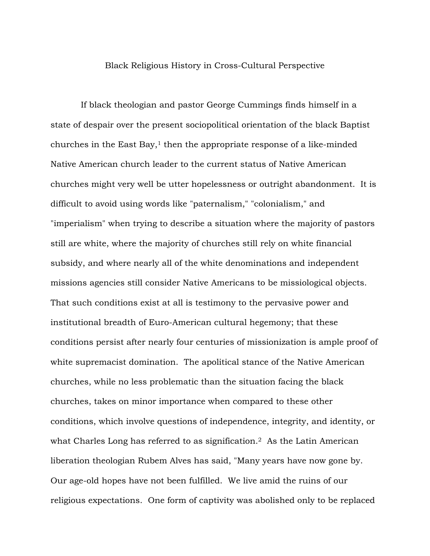## Black Religious History in Cross-Cultural Perspective

If black theologian and pastor George Cummings finds himself in a state of despair over the present sociopolitical orientation of the black Baptist churches in the East Bay, $<sup>1</sup>$  then the appropriate response of a like-minded</sup> Native American church leader to the current status of Native American churches might very well be utter hopelessness or outright abandonment. It is difficult to avoid using words like "paternalism," "colonialism," and "imperialism" when trying to describe a situation where the majority of pastors still are white, where the majority of churches still rely on white financial subsidy, and where nearly all of the white denominations and independent missions agencies still consider Native Americans to be missiological objects. That such conditions exist at all is testimony to the pervasive power and institutional breadth of Euro-American cultural hegemony; that these conditions persist after nearly four centuries of missionization is ample proof of white supremacist domination. The apolitical stance of the Native American churches, while no less problematic than the situation facing the black churches, takes on minor importance when compared to these other conditions, which involve questions of independence, integrity, and identity, or what Charles Long has referred to as signification.<sup>2</sup> As the Latin American liberation theologian Rubem Alves has said, "Many years have now gone by. Our age-old hopes have not been fulfilled. We live amid the ruins of our religious expectations. One form of captivity was abolished only to be replaced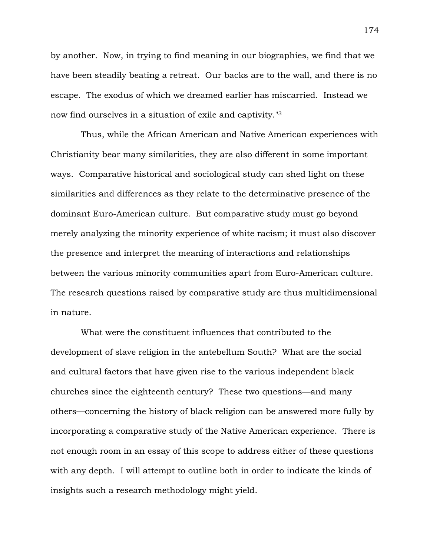by another. Now, in trying to find meaning in our biographies, we find that we have been steadily beating a retreat. Our backs are to the wall, and there is no escape. The exodus of which we dreamed earlier has miscarried. Instead we now find ourselves in a situation of exile and captivity."3

Thus, while the African American and Native American experiences with Christianity bear many similarities, they are also different in some important ways. Comparative historical and sociological study can shed light on these similarities and differences as they relate to the determinative presence of the dominant Euro-American culture. But comparative study must go beyond merely analyzing the minority experience of white racism; it must also discover the presence and interpret the meaning of interactions and relationships between the various minority communities apart from Euro-American culture. The research questions raised by comparative study are thus multidimensional in nature.

What were the constituent influences that contributed to the development of slave religion in the antebellum South? What are the social and cultural factors that have given rise to the various independent black churches since the eighteenth century? These two questions—and many others—concerning the history of black religion can be answered more fully by incorporating a comparative study of the Native American experience. There is not enough room in an essay of this scope to address either of these questions with any depth. I will attempt to outline both in order to indicate the kinds of insights such a research methodology might yield.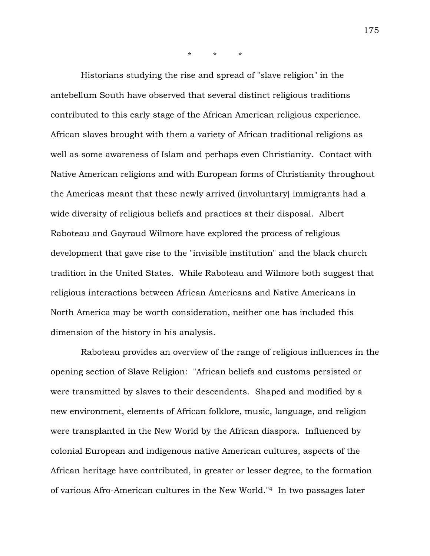\* \* \*

Historians studying the rise and spread of "slave religion" in the antebellum South have observed that several distinct religious traditions contributed to this early stage of the African American religious experience. African slaves brought with them a variety of African traditional religions as well as some awareness of Islam and perhaps even Christianity. Contact with Native American religions and with European forms of Christianity throughout the Americas meant that these newly arrived (involuntary) immigrants had a wide diversity of religious beliefs and practices at their disposal. Albert Raboteau and Gayraud Wilmore have explored the process of religious development that gave rise to the "invisible institution" and the black church tradition in the United States. While Raboteau and Wilmore both suggest that religious interactions between African Americans and Native Americans in North America may be worth consideration, neither one has included this dimension of the history in his analysis.

Raboteau provides an overview of the range of religious influences in the opening section of Slave Religion: "African beliefs and customs persisted or were transmitted by slaves to their descendents. Shaped and modified by a new environment, elements of African folklore, music, language, and religion were transplanted in the New World by the African diaspora. Influenced by colonial European and indigenous native American cultures, aspects of the African heritage have contributed, in greater or lesser degree, to the formation of various Afro-American cultures in the New World."4 In two passages later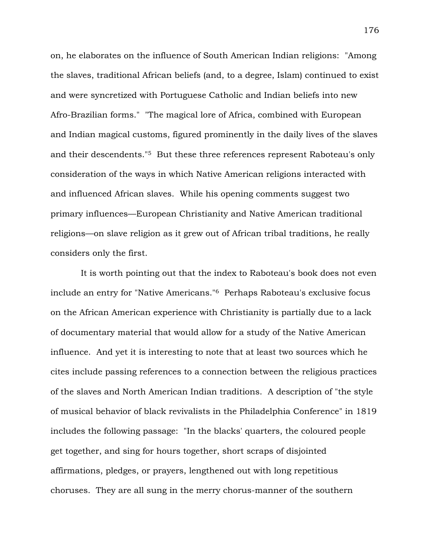on, he elaborates on the influence of South American Indian religions: "Among the slaves, traditional African beliefs (and, to a degree, Islam) continued to exist and were syncretized with Portuguese Catholic and Indian beliefs into new Afro-Brazilian forms." "The magical lore of Africa, combined with European and Indian magical customs, figured prominently in the daily lives of the slaves and their descendents."5 But these three references represent Raboteau's only consideration of the ways in which Native American religions interacted with and influenced African slaves. While his opening comments suggest two primary influences—European Christianity and Native American traditional religions—on slave religion as it grew out of African tribal traditions, he really considers only the first.

It is worth pointing out that the index to Raboteau's book does not even include an entry for "Native Americans."6 Perhaps Raboteau's exclusive focus on the African American experience with Christianity is partially due to a lack of documentary material that would allow for a study of the Native American influence. And yet it is interesting to note that at least two sources which he cites include passing references to a connection between the religious practices of the slaves and North American Indian traditions. A description of "the style of musical behavior of black revivalists in the Philadelphia Conference" in 1819 includes the following passage: "In the blacks' quarters, the coloured people get together, and sing for hours together, short scraps of disjointed affirmations, pledges, or prayers, lengthened out with long repetitious choruses. They are all sung in the merry chorus-manner of the southern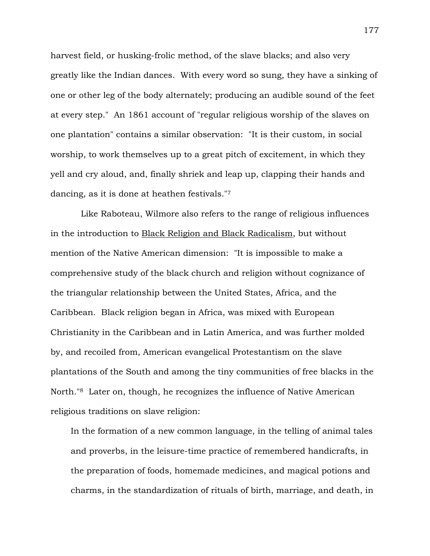harvest field, or husking-frolic method, of the slave blacks; and also very greatly like the Indian dances. With every word so sung, they have a sinking of one or other leg of the body alternately; producing an audible sound of the feet at every step." An 1861 account of "regular religious worship of the slaves on one plantation" contains a similar observation: "It is their custom, in social worship, to work themselves up to a great pitch of excitement, in which they yell and cry aloud, and, finally shriek and leap up, clapping their hands and dancing, as it is done at heathen festivals."7

Like Raboteau, Wilmore also refers to the range of religious influences in the introduction to Black Religion and Black Radicalism, but without mention of the Native American dimension: "It is impossible to make a comprehensive study of the black church and religion without cognizance of the triangular relationship between the United States, Africa, and the Caribbean. Black religion began in Africa, was mixed with European Christianity in the Caribbean and in Latin America, and was further molded by, and recoiled from, American evangelical Protestantism on the slave plantations of the South and among the tiny communities of free blacks in the North."8 Later on, though, he recognizes the influence of Native American religious traditions on slave religion:

In the formation of a new common language, in the telling of animal tales and proverbs, in the leisure-time practice of remembered handicrafts, in the preparation of foods, homemade medicines, and magical potions and charms, in the standardization of rituals of birth, marriage, and death, in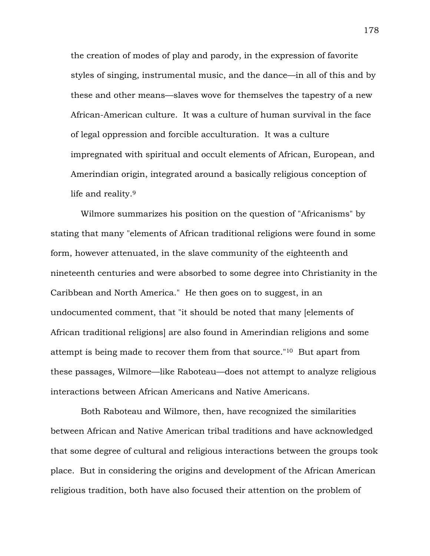the creation of modes of play and parody, in the expression of favorite styles of singing, instrumental music, and the dance—in all of this and by these and other means—slaves wove for themselves the tapestry of a new African-American culture. It was a culture of human survival in the face of legal oppression and forcible acculturation. It was a culture impregnated with spiritual and occult elements of African, European, and Amerindian origin, integrated around a basically religious conception of life and reality.9

Wilmore summarizes his position on the question of "Africanisms" by stating that many "elements of African traditional religions were found in some form, however attenuated, in the slave community of the eighteenth and nineteenth centuries and were absorbed to some degree into Christianity in the Caribbean and North America." He then goes on to suggest, in an undocumented comment, that "it should be noted that many [elements of African traditional religions] are also found in Amerindian religions and some attempt is being made to recover them from that source."10 But apart from these passages, Wilmore—like Raboteau—does not attempt to analyze religious interactions between African Americans and Native Americans.

Both Raboteau and Wilmore, then, have recognized the similarities between African and Native American tribal traditions and have acknowledged that some degree of cultural and religious interactions between the groups took place. But in considering the origins and development of the African American religious tradition, both have also focused their attention on the problem of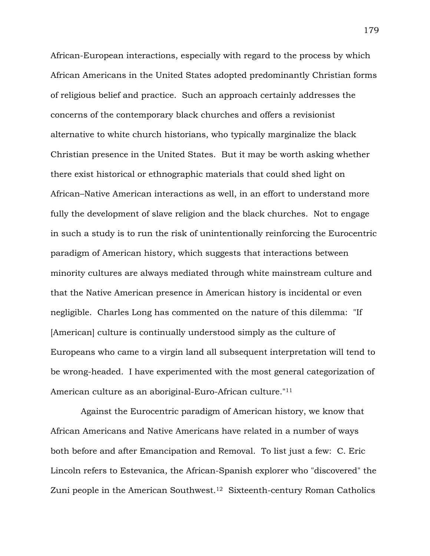African-European interactions, especially with regard to the process by which African Americans in the United States adopted predominantly Christian forms of religious belief and practice. Such an approach certainly addresses the concerns of the contemporary black churches and offers a revisionist alternative to white church historians, who typically marginalize the black Christian presence in the United States. But it may be worth asking whether there exist historical or ethnographic materials that could shed light on African–Native American interactions as well, in an effort to understand more fully the development of slave religion and the black churches. Not to engage in such a study is to run the risk of unintentionally reinforcing the Eurocentric paradigm of American history, which suggests that interactions between minority cultures are always mediated through white mainstream culture and that the Native American presence in American history is incidental or even negligible. Charles Long has commented on the nature of this dilemma: "If [American] culture is continually understood simply as the culture of Europeans who came to a virgin land all subsequent interpretation will tend to be wrong-headed. I have experimented with the most general categorization of American culture as an aboriginal-Euro-African culture."11

Against the Eurocentric paradigm of American history, we know that African Americans and Native Americans have related in a number of ways both before and after Emancipation and Removal. To list just a few: C. Eric Lincoln refers to Estevanica, the African-Spanish explorer who "discovered" the Zuni people in the American Southwest.12 Sixteenth-century Roman Catholics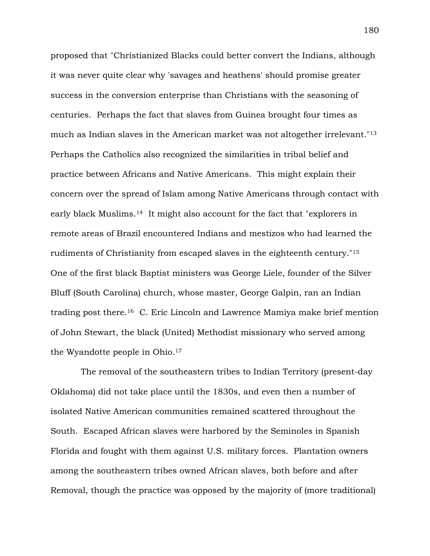proposed that "Christianized Blacks could better convert the Indians, although it was never quite clear why 'savages and heathens' should promise greater success in the conversion enterprise than Christians with the seasoning of centuries. Perhaps the fact that slaves from Guinea brought four times as much as Indian slaves in the American market was not altogether irrelevant."13 Perhaps the Catholics also recognized the similarities in tribal belief and practice between Africans and Native Americans. This might explain their concern over the spread of Islam among Native Americans through contact with early black Muslims.14 It might also account for the fact that "explorers in remote areas of Brazil encountered Indians and mestizos who had learned the rudiments of Christianity from escaped slaves in the eighteenth century."15 One of the first black Baptist ministers was George Liele, founder of the Silver Bluff (South Carolina) church, whose master, George Galpin, ran an Indian trading post there.16 C. Eric Lincoln and Lawrence Mamiya make brief mention of John Stewart, the black (United) Methodist missionary who served among the Wyandotte people in Ohio.17

The removal of the southeastern tribes to Indian Territory (present-day Oklahoma) did not take place until the 1830s, and even then a number of isolated Native American communities remained scattered throughout the South. Escaped African slaves were harbored by the Seminoles in Spanish Florida and fought with them against U.S. military forces. Plantation owners among the southeastern tribes owned African slaves, both before and after Removal, though the practice was opposed by the majority of (more traditional)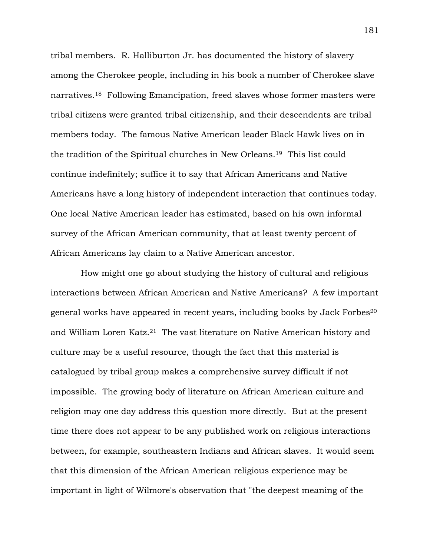tribal members. R. Halliburton Jr. has documented the history of slavery among the Cherokee people, including in his book a number of Cherokee slave narratives.18 Following Emancipation, freed slaves whose former masters were tribal citizens were granted tribal citizenship, and their descendents are tribal members today. The famous Native American leader Black Hawk lives on in the tradition of the Spiritual churches in New Orleans.19 This list could continue indefinitely; suffice it to say that African Americans and Native Americans have a long history of independent interaction that continues today. One local Native American leader has estimated, based on his own informal survey of the African American community, that at least twenty percent of African Americans lay claim to a Native American ancestor.

How might one go about studying the history of cultural and religious interactions between African American and Native Americans? A few important general works have appeared in recent years, including books by Jack Forbes20 and William Loren Katz.21 The vast literature on Native American history and culture may be a useful resource, though the fact that this material is catalogued by tribal group makes a comprehensive survey difficult if not impossible. The growing body of literature on African American culture and religion may one day address this question more directly. But at the present time there does not appear to be any published work on religious interactions between, for example, southeastern Indians and African slaves. It would seem that this dimension of the African American religious experience may be important in light of Wilmore's observation that "the deepest meaning of the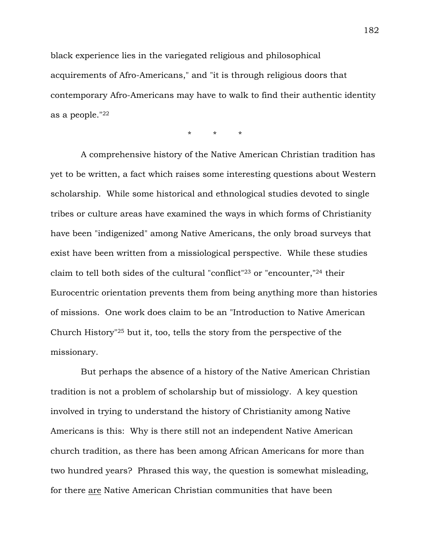black experience lies in the variegated religious and philosophical acquirements of Afro-Americans," and "it is through religious doors that contemporary Afro-Americans may have to walk to find their authentic identity as a people."22

\* \* \*

A comprehensive history of the Native American Christian tradition has yet to be written, a fact which raises some interesting questions about Western scholarship. While some historical and ethnological studies devoted to single tribes or culture areas have examined the ways in which forms of Christianity have been "indigenized" among Native Americans, the only broad surveys that exist have been written from a missiological perspective. While these studies claim to tell both sides of the cultural "conflict"23 or "encounter,"24 their Eurocentric orientation prevents them from being anything more than histories of missions. One work does claim to be an "Introduction to Native American Church History"25 but it, too, tells the story from the perspective of the missionary.

But perhaps the absence of a history of the Native American Christian tradition is not a problem of scholarship but of missiology. A key question involved in trying to understand the history of Christianity among Native Americans is this: Why is there still not an independent Native American church tradition, as there has been among African Americans for more than two hundred years? Phrased this way, the question is somewhat misleading, for there are Native American Christian communities that have been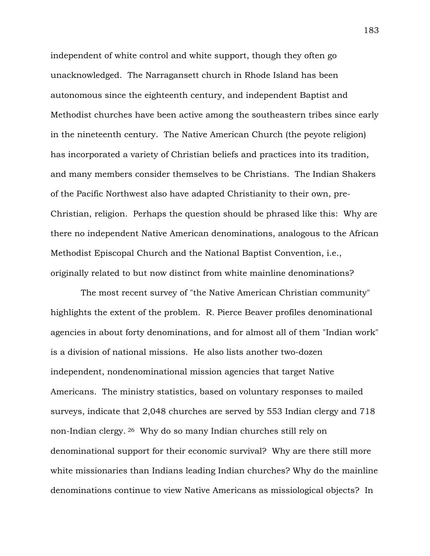independent of white control and white support, though they often go unacknowledged. The Narragansett church in Rhode Island has been autonomous since the eighteenth century, and independent Baptist and Methodist churches have been active among the southeastern tribes since early in the nineteenth century. The Native American Church (the peyote religion) has incorporated a variety of Christian beliefs and practices into its tradition, and many members consider themselves to be Christians. The Indian Shakers of the Pacific Northwest also have adapted Christianity to their own, pre-Christian, religion. Perhaps the question should be phrased like this: Why are there no independent Native American denominations, analogous to the African Methodist Episcopal Church and the National Baptist Convention, i.e., originally related to but now distinct from white mainline denominations?

The most recent survey of "the Native American Christian community" highlights the extent of the problem. R. Pierce Beaver profiles denominational agencies in about forty denominations, and for almost all of them "Indian work" is a division of national missions. He also lists another two-dozen independent, nondenominational mission agencies that target Native Americans. The ministry statistics, based on voluntary responses to mailed surveys, indicate that 2,048 churches are served by 553 Indian clergy and 718 non-Indian clergy. 26 Why do so many Indian churches still rely on denominational support for their economic survival? Why are there still more white missionaries than Indians leading Indian churches? Why do the mainline denominations continue to view Native Americans as missiological objects? In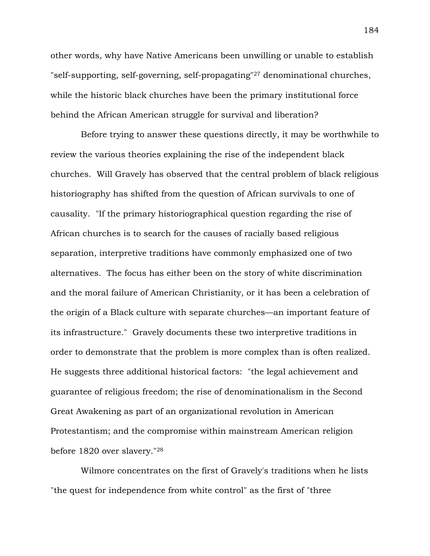other words, why have Native Americans been unwilling or unable to establish "self-supporting, self-governing, self-propagating"27 denominational churches, while the historic black churches have been the primary institutional force behind the African American struggle for survival and liberation?

Before trying to answer these questions directly, it may be worthwhile to review the various theories explaining the rise of the independent black churches. Will Gravely has observed that the central problem of black religious historiography has shifted from the question of African survivals to one of causality. "If the primary historiographical question regarding the rise of African churches is to search for the causes of racially based religious separation, interpretive traditions have commonly emphasized one of two alternatives. The focus has either been on the story of white discrimination and the moral failure of American Christianity, or it has been a celebration of the origin of a Black culture with separate churches—an important feature of its infrastructure." Gravely documents these two interpretive traditions in order to demonstrate that the problem is more complex than is often realized. He suggests three additional historical factors: "the legal achievement and guarantee of religious freedom; the rise of denominationalism in the Second Great Awakening as part of an organizational revolution in American Protestantism; and the compromise within mainstream American religion before 1820 over slavery."28

Wilmore concentrates on the first of Gravely's traditions when he lists "the quest for independence from white control" as the first of "three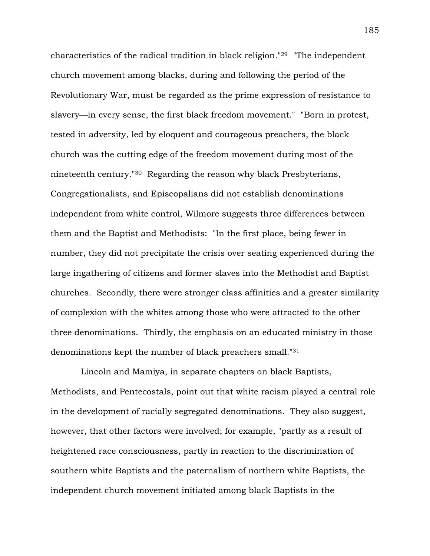characteristics of the radical tradition in black religion."29 "The independent church movement among blacks, during and following the period of the Revolutionary War, must be regarded as the prime expression of resistance to slavery—in every sense, the first black freedom movement." "Born in protest, tested in adversity, led by eloquent and courageous preachers, the black church was the cutting edge of the freedom movement during most of the nineteenth century."30 Regarding the reason why black Presbyterians, Congregationalists, and Episcopalians did not establish denominations independent from white control, Wilmore suggests three differences between them and the Baptist and Methodists: "In the first place, being fewer in number, they did not precipitate the crisis over seating experienced during the large ingathering of citizens and former slaves into the Methodist and Baptist churches. Secondly, there were stronger class affinities and a greater similarity of complexion with the whites among those who were attracted to the other three denominations. Thirdly, the emphasis on an educated ministry in those denominations kept the number of black preachers small."31

Lincoln and Mamiya, in separate chapters on black Baptists, Methodists, and Pentecostals, point out that white racism played a central role in the development of racially segregated denominations. They also suggest, however, that other factors were involved; for example, "partly as a result of heightened race consciousness, partly in reaction to the discrimination of southern white Baptists and the paternalism of northern white Baptists, the independent church movement initiated among black Baptists in the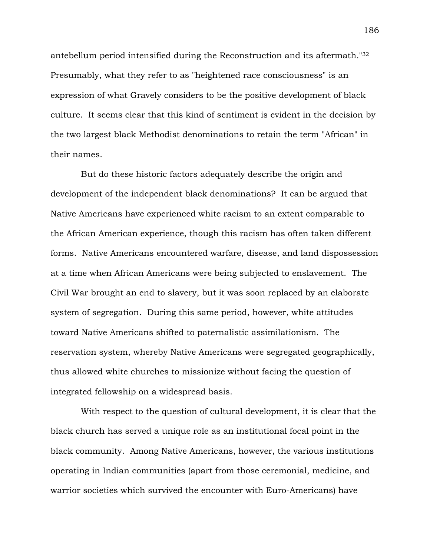antebellum period intensified during the Reconstruction and its aftermath."32 Presumably, what they refer to as "heightened race consciousness" is an expression of what Gravely considers to be the positive development of black culture. It seems clear that this kind of sentiment is evident in the decision by the two largest black Methodist denominations to retain the term "African" in their names.

But do these historic factors adequately describe the origin and development of the independent black denominations? It can be argued that Native Americans have experienced white racism to an extent comparable to the African American experience, though this racism has often taken different forms. Native Americans encountered warfare, disease, and land dispossession at a time when African Americans were being subjected to enslavement. The Civil War brought an end to slavery, but it was soon replaced by an elaborate system of segregation. During this same period, however, white attitudes toward Native Americans shifted to paternalistic assimilationism. The reservation system, whereby Native Americans were segregated geographically, thus allowed white churches to missionize without facing the question of integrated fellowship on a widespread basis.

With respect to the question of cultural development, it is clear that the black church has served a unique role as an institutional focal point in the black community. Among Native Americans, however, the various institutions operating in Indian communities (apart from those ceremonial, medicine, and warrior societies which survived the encounter with Euro-Americans) have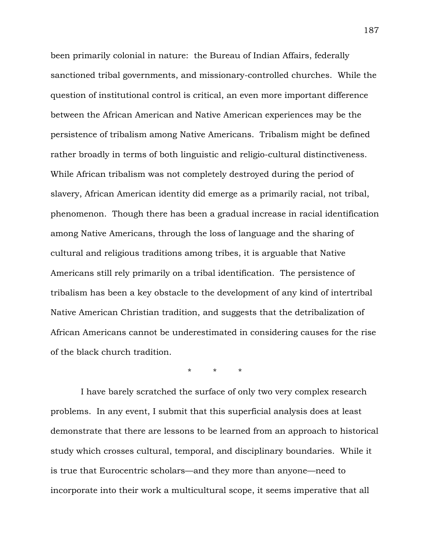been primarily colonial in nature: the Bureau of Indian Affairs, federally sanctioned tribal governments, and missionary-controlled churches. While the question of institutional control is critical, an even more important difference between the African American and Native American experiences may be the persistence of tribalism among Native Americans. Tribalism might be defined rather broadly in terms of both linguistic and religio-cultural distinctiveness. While African tribalism was not completely destroyed during the period of slavery, African American identity did emerge as a primarily racial, not tribal, phenomenon. Though there has been a gradual increase in racial identification among Native Americans, through the loss of language and the sharing of cultural and religious traditions among tribes, it is arguable that Native Americans still rely primarily on a tribal identification. The persistence of tribalism has been a key obstacle to the development of any kind of intertribal Native American Christian tradition, and suggests that the detribalization of African Americans cannot be underestimated in considering causes for the rise of the black church tradition.

\* \* \*

I have barely scratched the surface of only two very complex research problems. In any event, I submit that this superficial analysis does at least demonstrate that there are lessons to be learned from an approach to historical study which crosses cultural, temporal, and disciplinary boundaries. While it is true that Eurocentric scholars—and they more than anyone—need to incorporate into their work a multicultural scope, it seems imperative that all